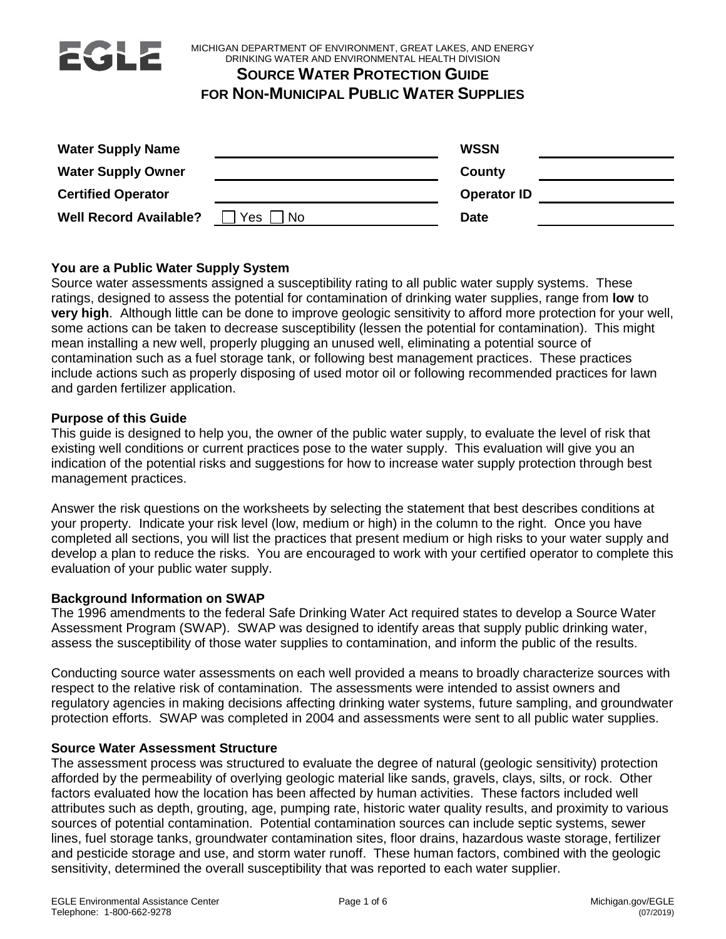

MICHIGAN DEPARTMENT OF ENVIRONMENT, GREAT LAKES, AND ENERGY DRINKING WATER AND ENVIRONMENTAL HEALTH DIVISION

# **SOURCE WATER PROTECTION GUIDE**

# **FOR NON-MUNICIPAL PUBLIC WATER SUPPLIES**

| <b>Water Supply Name</b>      |           | <b>WSSN</b>        |  |
|-------------------------------|-----------|--------------------|--|
| <b>Water Supply Owner</b>     |           | County             |  |
| <b>Certified Operator</b>     |           | <b>Operator ID</b> |  |
| <b>Well Record Available?</b> | Yes<br>No | <b>Date</b>        |  |

# **You are a Public Water Supply System**

Source water assessments assigned a susceptibility rating to all public water supply systems. These ratings, designed to assess the potential for contamination of drinking water supplies, range from **low** to **very high**. Although little can be done to improve geologic sensitivity to afford more protection for your well, some actions can be taken to decrease susceptibility (lessen the potential for contamination). This might mean installing a new well, properly plugging an unused well, eliminating a potential source of contamination such as a fuel storage tank, or following best management practices. These practices include actions such as properly disposing of used motor oil or following recommended practices for lawn and garden fertilizer application.

### **Purpose of this Guide**

This guide is designed to help you, the owner of the public water supply, to evaluate the level of risk that existing well conditions or current practices pose to the water supply. This evaluation will give you an indication of the potential risks and suggestions for how to increase water supply protection through best management practices.

Answer the risk questions on the worksheets by selecting the statement that best describes conditions at your property. Indicate your risk level (low, medium or high) in the column to the right. Once you have completed all sections, you will list the practices that present medium or high risks to your water supply and develop a plan to reduce the risks. You are encouraged to work with your certified operator to complete this evaluation of your public water supply.

## **Background Information on SWAP**

The 1996 amendments to the federal Safe Drinking Water Act required states to develop a Source Water Assessment Program (SWAP). SWAP was designed to identify areas that supply public drinking water, assess the susceptibility of those water supplies to contamination, and inform the public of the results.

Conducting source water assessments on each well provided a means to broadly characterize sources with respect to the relative risk of contamination. The assessments were intended to assist owners and regulatory agencies in making decisions affecting drinking water systems, future sampling, and groundwater protection efforts. SWAP was completed in 2004 and assessments were sent to all public water supplies.

### **Source Water Assessment Structure**

The assessment process was structured to evaluate the degree of natural (geologic sensitivity) protection afforded by the permeability of overlying geologic material like sands, gravels, clays, silts, or rock. Other factors evaluated how the location has been affected by human activities. These factors included well attributes such as depth, grouting, age, pumping rate, historic water quality results, and proximity to various sources of potential contamination. Potential contamination sources can include septic systems, sewer lines, fuel storage tanks, groundwater contamination sites, floor drains, hazardous waste storage, fertilizer and pesticide storage and use, and storm water runoff. These human factors, combined with the geologic sensitivity, determined the overall susceptibility that was reported to each water supplier.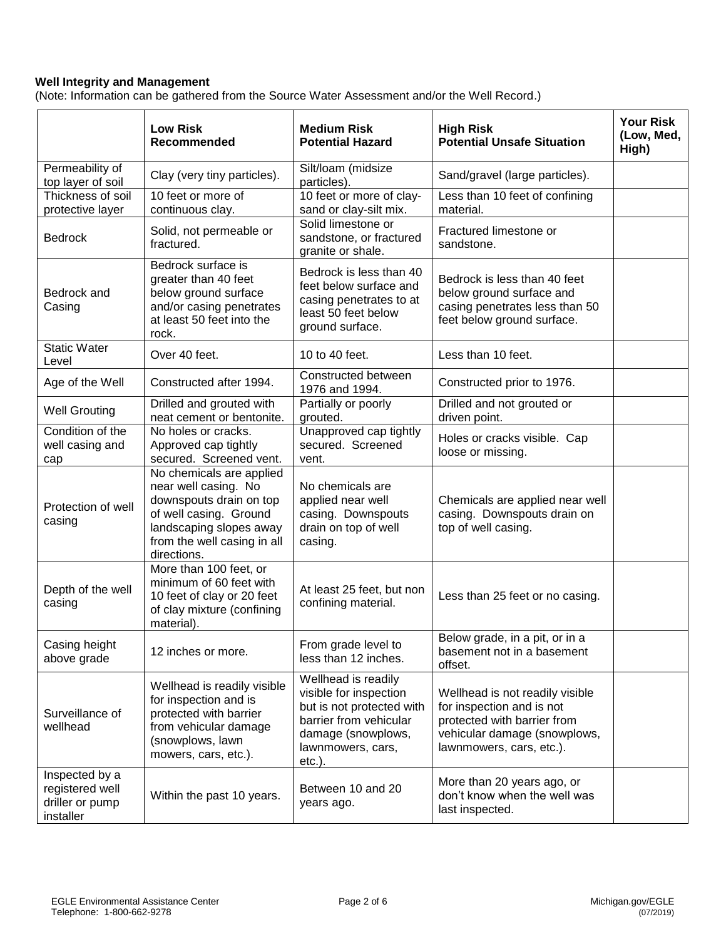### **Well Integrity and Management**

(Note: Information can be gathered from the Source Water Assessment and/or the Well Record.)

|                                                                   | <b>Low Risk</b><br>Recommended                                                                                                                                                 | <b>Medium Risk</b><br><b>Potential Hazard</b>                                                                                                                | <b>High Risk</b><br><b>Potential Unsafe Situation</b>                                                                                                   | <b>Your Risk</b><br>(Low, Med,<br>High) |
|-------------------------------------------------------------------|--------------------------------------------------------------------------------------------------------------------------------------------------------------------------------|--------------------------------------------------------------------------------------------------------------------------------------------------------------|---------------------------------------------------------------------------------------------------------------------------------------------------------|-----------------------------------------|
| Permeability of<br>top layer of soil                              | Clay (very tiny particles).                                                                                                                                                    | Silt/loam (midsize<br>particles).                                                                                                                            | Sand/gravel (large particles).                                                                                                                          |                                         |
| Thickness of soil<br>protective layer                             | 10 feet or more of<br>continuous clay.                                                                                                                                         | 10 feet or more of clay-<br>sand or clay-silt mix.                                                                                                           | Less than 10 feet of confining<br>material.                                                                                                             |                                         |
| <b>Bedrock</b>                                                    | Solid, not permeable or<br>fractured.                                                                                                                                          | Solid limestone or<br>sandstone, or fractured<br>granite or shale.                                                                                           | Fractured limestone or<br>sandstone.                                                                                                                    |                                         |
| Bedrock and<br>Casing                                             | Bedrock surface is<br>greater than 40 feet<br>below ground surface<br>and/or casing penetrates<br>at least 50 feet into the<br>rock.                                           | Bedrock is less than 40<br>feet below surface and<br>casing penetrates to at<br>least 50 feet below<br>ground surface.                                       | Bedrock is less than 40 feet<br>below ground surface and<br>casing penetrates less than 50<br>feet below ground surface.                                |                                         |
| <b>Static Water</b><br>Level                                      | Over 40 feet.                                                                                                                                                                  | 10 to 40 feet.                                                                                                                                               | Less than 10 feet.                                                                                                                                      |                                         |
| Age of the Well                                                   | Constructed after 1994.                                                                                                                                                        | Constructed between<br>1976 and 1994.                                                                                                                        | Constructed prior to 1976.                                                                                                                              |                                         |
| <b>Well Grouting</b>                                              | Drilled and grouted with<br>neat cement or bentonite.                                                                                                                          | Partially or poorly<br>grouted.                                                                                                                              | Drilled and not grouted or<br>driven point.                                                                                                             |                                         |
| Condition of the<br>well casing and<br>cap                        | No holes or cracks.<br>Approved cap tightly<br>secured. Screened vent.                                                                                                         | Unapproved cap tightly<br>secured. Screened<br>vent.                                                                                                         | Holes or cracks visible. Cap<br>loose or missing.                                                                                                       |                                         |
| Protection of well<br>casing                                      | No chemicals are applied<br>near well casing. No<br>downspouts drain on top<br>of well casing. Ground<br>landscaping slopes away<br>from the well casing in all<br>directions. | No chemicals are<br>applied near well<br>casing. Downspouts<br>drain on top of well<br>casing.                                                               | Chemicals are applied near well<br>casing. Downspouts drain on<br>top of well casing.                                                                   |                                         |
| Depth of the well<br>casing                                       | More than 100 feet, or<br>minimum of 60 feet with<br>10 feet of clay or 20 feet<br>of clay mixture (confining<br>material).                                                    | At least 25 feet, but non<br>confining material.                                                                                                             | Less than 25 feet or no casing.                                                                                                                         |                                         |
| Casing height<br>above grade                                      | 12 inches or more.                                                                                                                                                             | From grade level to<br>less than 12 inches.                                                                                                                  | Below grade, in a pit, or in a<br>basement not in a basement<br>offset.                                                                                 |                                         |
| Surveillance of<br>wellhead                                       | Wellhead is readily visible<br>for inspection and is<br>protected with barrier<br>from vehicular damage<br>(snowplows, lawn<br>mowers, cars, etc.).                            | Wellhead is readily<br>visible for inspection<br>but is not protected with<br>barrier from vehicular<br>damage (snowplows,<br>lawnmowers, cars,<br>$etc.$ ). | Wellhead is not readily visible<br>for inspection and is not<br>protected with barrier from<br>vehicular damage (snowplows,<br>lawnmowers, cars, etc.). |                                         |
| Inspected by a<br>registered well<br>driller or pump<br>installer | Within the past 10 years.                                                                                                                                                      | Between 10 and 20<br>years ago.                                                                                                                              | More than 20 years ago, or<br>don't know when the well was<br>last inspected.                                                                           |                                         |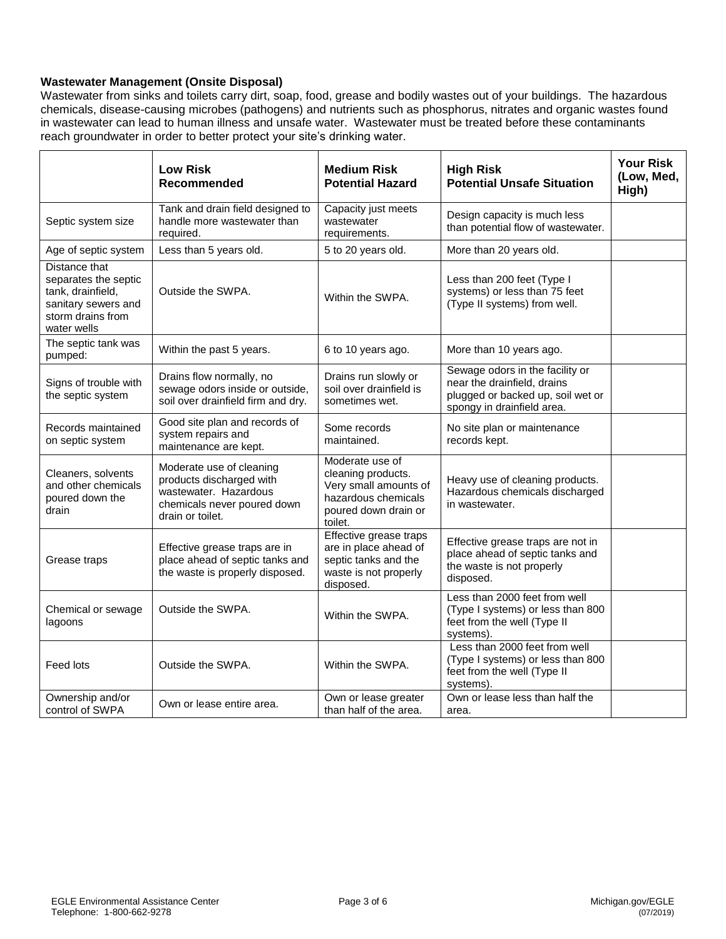#### **Wastewater Management (Onsite Disposal)**

Wastewater from sinks and toilets carry dirt, soap, food, grease and bodily wastes out of your buildings. The hazardous chemicals, disease-causing microbes (pathogens) and nutrients such as phosphorus, nitrates and organic wastes found in wastewater can lead to human illness and unsafe water. Wastewater must be treated before these contaminants reach groundwater in order to better protect your site's drinking water.

|                                                                                                                       | <b>Low Risk</b><br>Recommended                                                                                                   | <b>Medium Risk</b><br><b>Potential Hazard</b>                                                                            | <b>High Risk</b><br><b>Potential Unsafe Situation</b>                                                                             | <b>Your Risk</b><br>(Low, Med,<br>High) |
|-----------------------------------------------------------------------------------------------------------------------|----------------------------------------------------------------------------------------------------------------------------------|--------------------------------------------------------------------------------------------------------------------------|-----------------------------------------------------------------------------------------------------------------------------------|-----------------------------------------|
| Septic system size                                                                                                    | Tank and drain field designed to<br>handle more wastewater than<br>required.                                                     | Capacity just meets<br>wastewater<br>requirements.                                                                       | Design capacity is much less<br>than potential flow of wastewater.                                                                |                                         |
| Age of septic system                                                                                                  | Less than 5 years old.                                                                                                           | 5 to 20 years old.                                                                                                       | More than 20 years old.                                                                                                           |                                         |
| Distance that<br>separates the septic<br>tank, drainfield,<br>sanitary sewers and<br>storm drains from<br>water wells | Outside the SWPA.                                                                                                                | Within the SWPA.                                                                                                         | Less than 200 feet (Type I<br>systems) or less than 75 feet<br>(Type II systems) from well.                                       |                                         |
| The septic tank was<br>pumped:                                                                                        | Within the past 5 years.                                                                                                         | 6 to 10 years ago.                                                                                                       | More than 10 years ago.                                                                                                           |                                         |
| Signs of trouble with<br>the septic system                                                                            | Drains flow normally, no<br>sewage odors inside or outside,<br>soil over drainfield firm and dry.                                | Drains run slowly or<br>soil over drainfield is<br>sometimes wet.                                                        | Sewage odors in the facility or<br>near the drainfield, drains<br>plugged or backed up, soil wet or<br>spongy in drainfield area. |                                         |
| Records maintained<br>on septic system                                                                                | Good site plan and records of<br>system repairs and<br>maintenance are kept.                                                     | Some records<br>maintained.                                                                                              | No site plan or maintenance<br>records kept.                                                                                      |                                         |
| Cleaners, solvents<br>and other chemicals<br>poured down the<br>drain                                                 | Moderate use of cleaning<br>products discharged with<br>wastewater. Hazardous<br>chemicals never poured down<br>drain or toilet. | Moderate use of<br>cleaning products.<br>Very small amounts of<br>hazardous chemicals<br>poured down drain or<br>toilet. | Heavy use of cleaning products.<br>Hazardous chemicals discharged<br>in wastewater.                                               |                                         |
| Grease traps                                                                                                          | Effective grease traps are in<br>place ahead of septic tanks and<br>the waste is properly disposed.                              | Effective grease traps<br>are in place ahead of<br>septic tanks and the<br>waste is not properly<br>disposed.            | Effective grease traps are not in<br>place ahead of septic tanks and<br>the waste is not properly<br>disposed.                    |                                         |
| Chemical or sewage<br>lagoons                                                                                         | Outside the SWPA.                                                                                                                | Within the SWPA.                                                                                                         | Less than 2000 feet from well<br>(Type I systems) or less than 800<br>feet from the well (Type II<br>systems).                    |                                         |
| Feed lots                                                                                                             | Outside the SWPA.                                                                                                                | Within the SWPA.                                                                                                         | Less than 2000 feet from well<br>(Type I systems) or less than 800<br>feet from the well (Type II<br>systems).                    |                                         |
| Ownership and/or<br>control of SWPA                                                                                   | Own or lease entire area.                                                                                                        | Own or lease greater<br>than half of the area.                                                                           | Own or lease less than half the<br>area.                                                                                          |                                         |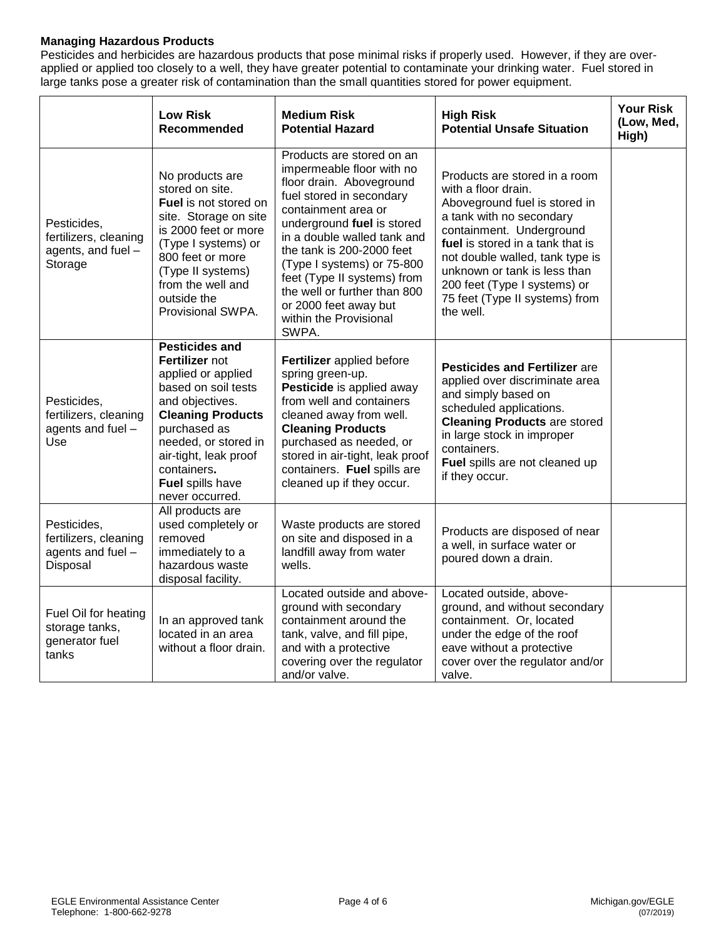#### **Managing Hazardous Products**

Pesticides and herbicides are hazardous products that pose minimal risks if properly used. However, if they are overapplied or applied too closely to a well, they have greater potential to contaminate your drinking water. Fuel stored in large tanks pose a greater risk of contamination than the small quantities stored for power equipment.

|                                                                       | <b>Low Risk</b><br>Recommended                                                                                                                                                                                                                             | <b>Medium Risk</b><br><b>Potential Hazard</b>                                                                                                                                                                                                                                                                                                                                            | <b>High Risk</b><br><b>Potential Unsafe Situation</b>                                                                                                                                                                                                                                                                               | <b>Your Risk</b><br>(Low, Med,<br>High) |
|-----------------------------------------------------------------------|------------------------------------------------------------------------------------------------------------------------------------------------------------------------------------------------------------------------------------------------------------|------------------------------------------------------------------------------------------------------------------------------------------------------------------------------------------------------------------------------------------------------------------------------------------------------------------------------------------------------------------------------------------|-------------------------------------------------------------------------------------------------------------------------------------------------------------------------------------------------------------------------------------------------------------------------------------------------------------------------------------|-----------------------------------------|
| Pesticides,<br>fertilizers, cleaning<br>agents, and fuel -<br>Storage | No products are<br>stored on site.<br>Fuel is not stored on<br>site. Storage on site<br>is 2000 feet or more<br>(Type I systems) or<br>800 feet or more<br>(Type II systems)<br>from the well and<br>outside the<br>Provisional SWPA.                      | Products are stored on an<br>impermeable floor with no<br>floor drain. Aboveground<br>fuel stored in secondary<br>containment area or<br>underground fuel is stored<br>in a double walled tank and<br>the tank is 200-2000 feet<br>(Type I systems) or 75-800<br>feet (Type II systems) from<br>the well or further than 800<br>or 2000 feet away but<br>within the Provisional<br>SWPA. | Products are stored in a room<br>with a floor drain.<br>Aboveground fuel is stored in<br>a tank with no secondary<br>containment. Underground<br>fuel is stored in a tank that is<br>not double walled, tank type is<br>unknown or tank is less than<br>200 feet (Type I systems) or<br>75 feet (Type II systems) from<br>the well. |                                         |
| Pesticides,<br>fertilizers, cleaning<br>agents and fuel -<br>Use      | <b>Pesticides and</b><br>Fertilizer not<br>applied or applied<br>based on soil tests<br>and objectives.<br><b>Cleaning Products</b><br>purchased as<br>needed, or stored in<br>air-tight, leak proof<br>containers.<br>Fuel spills have<br>never occurred. | Fertilizer applied before<br>spring green-up.<br>Pesticide is applied away<br>from well and containers<br>cleaned away from well.<br><b>Cleaning Products</b><br>purchased as needed, or<br>stored in air-tight, leak proof<br>containers. Fuel spills are<br>cleaned up if they occur.                                                                                                  | <b>Pesticides and Fertilizer are</b><br>applied over discriminate area<br>and simply based on<br>scheduled applications.<br><b>Cleaning Products are stored</b><br>in large stock in improper<br>containers.<br>Fuel spills are not cleaned up<br>if they occur.                                                                    |                                         |
| Pesticides,<br>fertilizers, cleaning<br>agents and fuel -<br>Disposal | All products are<br>used completely or<br>removed<br>immediately to a<br>hazardous waste<br>disposal facility.                                                                                                                                             | Waste products are stored<br>on site and disposed in a<br>landfill away from water<br>wells.                                                                                                                                                                                                                                                                                             | Products are disposed of near<br>a well, in surface water or<br>poured down a drain.                                                                                                                                                                                                                                                |                                         |
| Fuel Oil for heating<br>storage tanks,<br>generator fuel<br>tanks     | In an approved tank<br>located in an area<br>without a floor drain.                                                                                                                                                                                        | Located outside and above-<br>ground with secondary<br>containment around the<br>tank, valve, and fill pipe,<br>and with a protective<br>covering over the regulator<br>and/or valve.                                                                                                                                                                                                    | Located outside, above-<br>ground, and without secondary<br>containment. Or, located<br>under the edge of the roof<br>eave without a protective<br>cover over the regulator and/or<br>valve.                                                                                                                                        |                                         |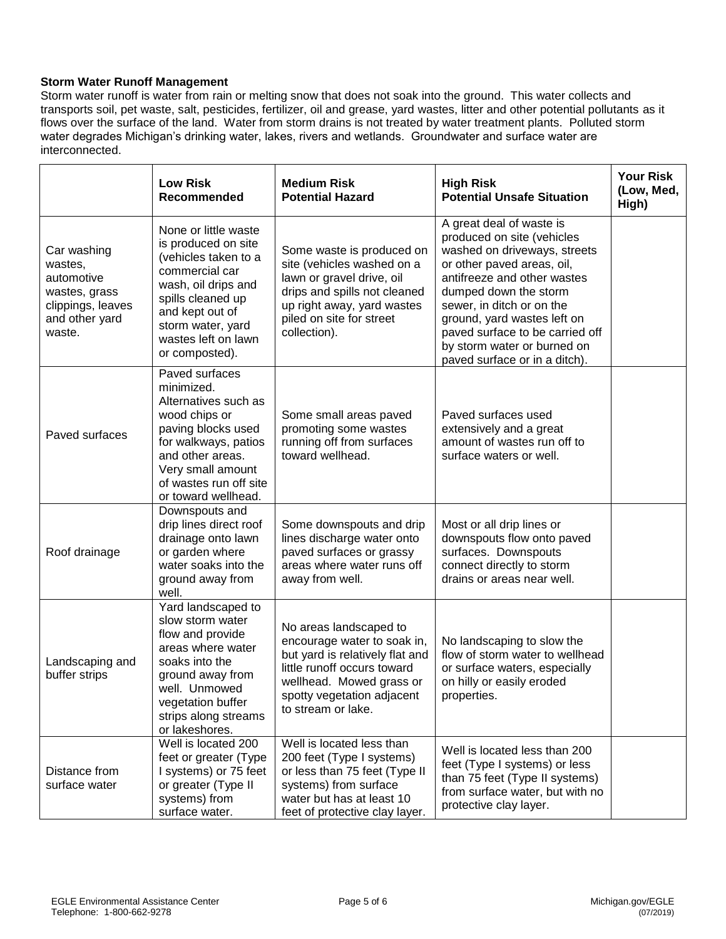#### **Storm Water Runoff Management**

Storm water runoff is water from rain or melting snow that does not soak into the ground. This water collects and transports soil, pet waste, salt, pesticides, fertilizer, oil and grease, yard wastes, litter and other potential pollutants as it flows over the surface of the land. Water from storm drains is not treated by water treatment plants. Polluted storm water degrades Michigan's drinking water, lakes, rivers and wetlands. Groundwater and surface water are interconnected.

|                                                                                                        | <b>Low Risk</b><br>Recommended                                                                                                                                                                                     | <b>Medium Risk</b><br><b>Potential Hazard</b>                                                                                                                                                           | <b>High Risk</b><br><b>Potential Unsafe Situation</b>                                                                                                                                                                                                                                                                                       | <b>Your Risk</b><br>(Low, Med,<br>High) |
|--------------------------------------------------------------------------------------------------------|--------------------------------------------------------------------------------------------------------------------------------------------------------------------------------------------------------------------|---------------------------------------------------------------------------------------------------------------------------------------------------------------------------------------------------------|---------------------------------------------------------------------------------------------------------------------------------------------------------------------------------------------------------------------------------------------------------------------------------------------------------------------------------------------|-----------------------------------------|
| Car washing<br>wastes,<br>automotive<br>wastes, grass<br>clippings, leaves<br>and other yard<br>waste. | None or little waste<br>is produced on site<br>(vehicles taken to a<br>commercial car<br>wash, oil drips and<br>spills cleaned up<br>and kept out of<br>storm water, yard<br>wastes left on lawn<br>or composted). | Some waste is produced on<br>site (vehicles washed on a<br>lawn or gravel drive, oil<br>drips and spills not cleaned<br>up right away, yard wastes<br>piled on site for street<br>collection).          | A great deal of waste is<br>produced on site (vehicles<br>washed on driveways, streets<br>or other paved areas, oil,<br>antifreeze and other wastes<br>dumped down the storm<br>sewer, in ditch or on the<br>ground, yard wastes left on<br>paved surface to be carried off<br>by storm water or burned on<br>paved surface or in a ditch). |                                         |
| Paved surfaces                                                                                         | Paved surfaces<br>minimized.<br>Alternatives such as<br>wood chips or<br>paving blocks used<br>for walkways, patios<br>and other areas.<br>Very small amount<br>of wastes run off site<br>or toward wellhead.      | Some small areas paved<br>promoting some wastes<br>running off from surfaces<br>toward wellhead.                                                                                                        | Paved surfaces used<br>extensively and a great<br>amount of wastes run off to<br>surface waters or well.                                                                                                                                                                                                                                    |                                         |
| Roof drainage                                                                                          | Downspouts and<br>drip lines direct roof<br>drainage onto lawn<br>or garden where<br>water soaks into the<br>ground away from<br>well.                                                                             | Some downspouts and drip<br>lines discharge water onto<br>paved surfaces or grassy<br>areas where water runs off<br>away from well.                                                                     | Most or all drip lines or<br>downspouts flow onto paved<br>surfaces. Downspouts<br>connect directly to storm<br>drains or areas near well.                                                                                                                                                                                                  |                                         |
| Landscaping and<br>buffer strips                                                                       | Yard landscaped to<br>slow storm water<br>flow and provide<br>areas where water<br>soaks into the<br>ground away from<br>well. Unmowed<br>vegetation buffer<br>strips along streams<br>or lakeshores.              | No areas landscaped to<br>encourage water to soak in,<br>but yard is relatively flat and<br>little runoff occurs toward<br>wellhead. Mowed grass or<br>spotty vegetation adjacent<br>to stream or lake. | No landscaping to slow the<br>flow of storm water to wellhead<br>or surface waters, especially<br>on hilly or easily eroded<br>properties.                                                                                                                                                                                                  |                                         |
| Distance from<br>surface water                                                                         | Well is located 200<br>feet or greater (Type<br>I systems) or 75 feet<br>or greater (Type II<br>systems) from<br>surface water.                                                                                    | Well is located less than<br>200 feet (Type I systems)<br>or less than 75 feet (Type II<br>systems) from surface<br>water but has at least 10<br>feet of protective clay layer.                         | Well is located less than 200<br>feet (Type I systems) or less<br>than 75 feet (Type II systems)<br>from surface water, but with no<br>protective clay layer.                                                                                                                                                                               |                                         |